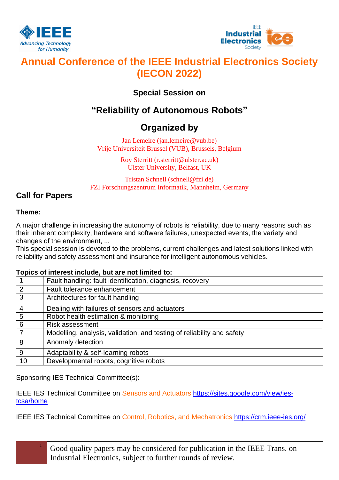



# **Annual Conference of the IEEE Industrial Electronics Society (IECON 2022)**

### **Special Session on**

# **"Reliability of Autonomous Robots"**

## **Organized by**

Jan Lemeire (jan.lemeire@vub.be) Vrije Universiteit Brussel (VUB), Brussels, Belgium

> Roy Sterritt (r.sterritt@ulster.ac.uk) Ulster University, Belfast, UK

Tristan Schnell (schnell@fzi.de) FZI Forschungszentrum Informatik, Mannheim, Germany

### **Call for Papers**

### **Theme:**

A major challenge in increasing the autonomy of robots is reliability, due to many reasons such as their inherent complexity, hardware and software failures, unexpected events, the variety and changes of the environment, ...

This special session is devoted to the problems, current challenges and latest solutions linked with reliability and safety assessment and insurance for intelligent autonomous vehicles.

#### **Topics of interest include, but are not limited to:**

|    | Fault handling: fault identification, diagnosis, recovery              |
|----|------------------------------------------------------------------------|
| 2  | Fault tolerance enhancement                                            |
| 3  | Architectures for fault handling                                       |
| 4  | Dealing with failures of sensors and actuators                         |
| 5  | Robot health estimation & monitoring                                   |
| 6  | <b>Risk assessment</b>                                                 |
|    | Modelling, analysis, validation, and testing of reliability and safety |
| 8  | Anomaly detection                                                      |
| 9  | Adaptability & self-learning robots                                    |
| 10 | Developmental robots, cognitive robots                                 |

Sponsoring IES Technical Committee(s):

IEEE IES Technical Committee on Sensors and Actuators https://sites.google.com/view/iestcsa/home

IEEE IES Technical Committee on Control, Robotics, and Mechatronics <https://crm.ieee-ies.org/>